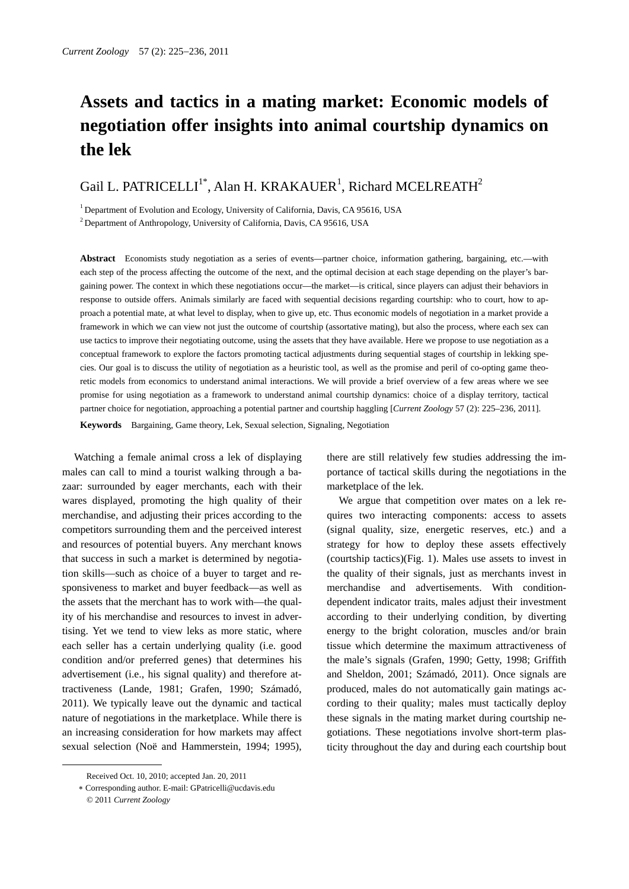# **Assets and tactics in a mating market: Economic models of negotiation offer insights into animal courtship dynamics on the lek**

# Gail L. PATRICELLI<sup>1\*</sup>, Alan H. KRAKAUER<sup>1</sup>, Richard MCELREATH<sup>2</sup>

<sup>1</sup> Department of Evolution and Ecology, University of California, Davis, CA 95616, USA

<sup>2</sup> Department of Anthropology, University of California, Davis, CA 95616, USA

**Abstract** Economists study negotiation as a series of events—partner choice, information gathering, bargaining, etc.—with each step of the process affecting the outcome of the next, and the optimal decision at each stage depending on the player's bargaining power. The context in which these negotiations occur—the market—is critical, since players can adjust their behaviors in response to outside offers. Animals similarly are faced with sequential decisions regarding courtship: who to court, how to approach a potential mate, at what level to display, when to give up, etc. Thus economic models of negotiation in a market provide a framework in which we can view not just the outcome of courtship (assortative mating), but also the process, where each sex can use tactics to improve their negotiating outcome, using the assets that they have available. Here we propose to use negotiation as a conceptual framework to explore the factors promoting tactical adjustments during sequential stages of courtship in lekking species. Our goal is to discuss the utility of negotiation as a heuristic tool, as well as the promise and peril of co-opting game theoretic models from economics to understand animal interactions. We will provide a brief overview of a few areas where we see promise for using negotiation as a framework to understand animal courtship dynamics: choice of a display territory, tactical partner choice for negotiation, approaching a potential partner and courtship haggling [*Current Zoology* 57 (2): 225–236, 2011].

**Keywords** Bargaining, Game theory, Lek, Sexual selection, Signaling, Negotiation

Watching a female animal cross a lek of displaying males can call to mind a tourist walking through a bazaar: surrounded by eager merchants, each with their wares displayed, promoting the high quality of their merchandise, and adjusting their prices according to the competitors surrounding them and the perceived interest and resources of potential buyers. Any merchant knows that success in such a market is determined by negotiation skills—such as choice of a buyer to target and responsiveness to market and buyer feedback—as well as the assets that the merchant has to work with—the quality of his merchandise and resources to invest in advertising. Yet we tend to view leks as more static, where each seller has a certain underlying quality (i.e. good condition and/or preferred genes) that determines his advertisement (i.e., his signal quality) and therefore attractiveness (Lande, 1981; Grafen, 1990; Számadó, 2011). We typically leave out the dynamic and tactical nature of negotiations in the marketplace. While there is an increasing consideration for how markets may affect sexual selection (Noë and Hammerstein, 1994; 1995),

 $\overline{a}$ 

there are still relatively few studies addressing the importance of tactical skills during the negotiations in the marketplace of the lek.

We argue that competition over mates on a lek requires two interacting components: access to assets (signal quality, size, energetic reserves, etc.) and a strategy for how to deploy these assets effectively (courtship tactics)(Fig. 1). Males use assets to invest in the quality of their signals, just as merchants invest in merchandise and advertisements. With conditiondependent indicator traits, males adjust their investment according to their underlying condition, by diverting energy to the bright coloration, muscles and/or brain tissue which determine the maximum attractiveness of the male's signals (Grafen, 1990; Getty, 1998; Griffith and Sheldon, 2001; Számadó, 2011). Once signals are produced, males do not automatically gain matings according to their quality; males must tactically deploy these signals in the mating market during courtship negotiations. These negotiations involve short-term plasticity throughout the day and during each courtship bout

Received Oct. 10, 2010; accepted Jan. 20, 2011

<sup>∗</sup> Corresponding author. E-mail: GPatricelli@ucdavis.edu

<sup>© 2011</sup> *Current Zoology*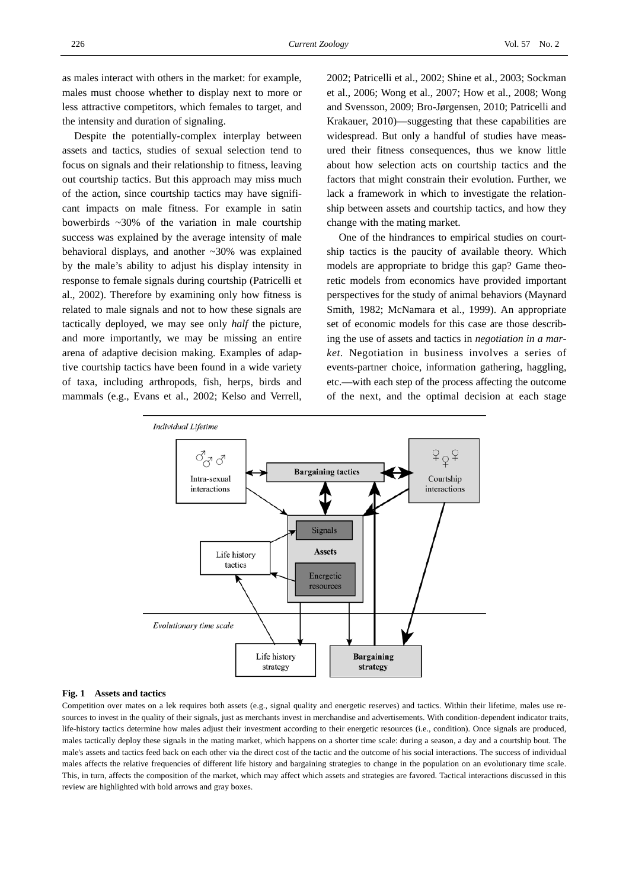as males interact with others in the market: for example, males must choose whether to display next to more or less attractive competitors, which females to target, and the intensity and duration of signaling.

Despite the potentially-complex interplay between assets and tactics, studies of sexual selection tend to focus on signals and their relationship to fitness, leaving out courtship tactics. But this approach may miss much of the action, since courtship tactics may have significant impacts on male fitness. For example in satin bowerbirds ~30% of the variation in male courtship success was explained by the average intensity of male behavioral displays, and another ~30% was explained by the male's ability to adjust his display intensity in response to female signals during courtship (Patricelli et al., 2002). Therefore by examining only how fitness is related to male signals and not to how these signals are tactically deployed, we may see only *half* the picture, and more importantly, we may be missing an entire arena of adaptive decision making. Examples of adaptive courtship tactics have been found in a wide variety of taxa, including arthropods, fish, herps, birds and mammals (e.g., Evans et al., 2002; Kelso and Verrell,

2002; Patricelli et al., 2002; Shine et al., 2003; Sockman et al., 2006; Wong et al., 2007; How et al., 2008; Wong and Svensson, 2009; Bro-Jørgensen, 2010; Patricelli and Krakauer, 2010)—suggesting that these capabilities are widespread. But only a handful of studies have measured their fitness consequences, thus we know little about how selection acts on courtship tactics and the factors that might constrain their evolution. Further, we lack a framework in which to investigate the relationship between assets and courtship tactics, and how they change with the mating market.

One of the hindrances to empirical studies on courtship tactics is the paucity of available theory. Which models are appropriate to bridge this gap? Game theoretic models from economics have provided important perspectives for the study of animal behaviors (Maynard Smith, 1982; McNamara et al., 1999). An appropriate set of economic models for this case are those describing the use of assets and tactics in *negotiation in a market.* Negotiation in business involves a series of events-partner choice, information gathering, haggling, etc.—with each step of the process affecting the outcome of the next, and the optimal decision at each stage



#### **Fig. 1 Assets and tactics**

Competition over mates on a lek requires both assets (e.g., signal quality and energetic reserves) and tactics. Within their lifetime, males use resources to invest in the quality of their signals, just as merchants invest in merchandise and advertisements. With condition-dependent indicator traits, life-history tactics determine how males adjust their investment according to their energetic resources (i.e., condition). Once signals are produced, males tactically deploy these signals in the mating market, which happens on a shorter time scale: during a season, a day and a courtship bout. The male's assets and tactics feed back on each other via the direct cost of the tactic and the outcome of his social interactions. The success of individual males affects the relative frequencies of different life history and bargaining strategies to change in the population on an evolutionary time scale. This, in turn, affects the composition of the market, which may affect which assets and strategies are favored. Tactical interactions discussed in this review are highlighted with bold arrows and gray boxes.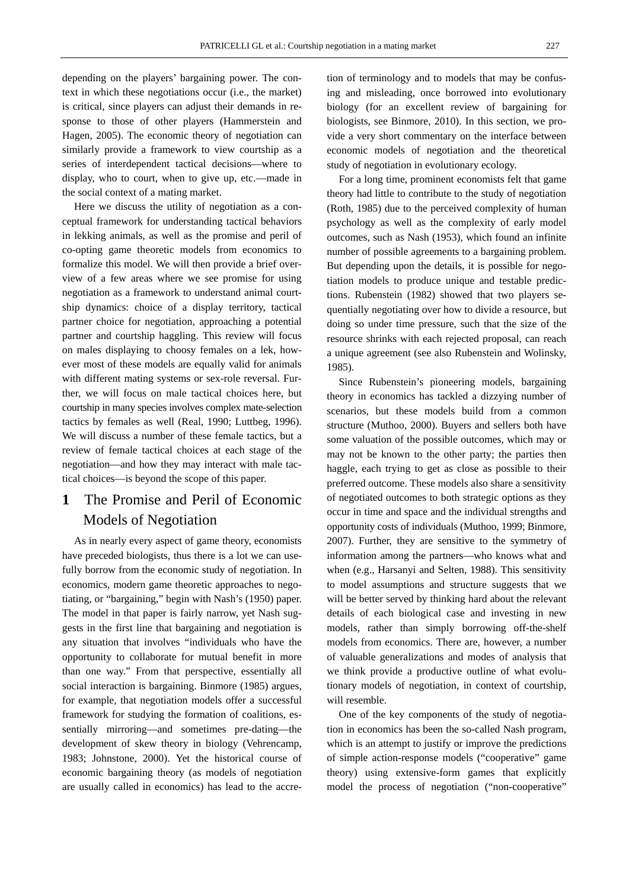depending on the players' bargaining power. The context in which these negotiations occur (i.e., the market) is critical, since players can adjust their demands in response to those of other players (Hammerstein and Hagen, 2005). The economic theory of negotiation can similarly provide a framework to view courtship as a series of interdependent tactical decisions—where to display, who to court, when to give up, etc.—made in the social context of a mating market.

Here we discuss the utility of negotiation as a conceptual framework for understanding tactical behaviors in lekking animals, as well as the promise and peril of co-opting game theoretic models from economics to formalize this model. We will then provide a brief overview of a few areas where we see promise for using negotiation as a framework to understand animal courtship dynamics: choice of a display territory, tactical partner choice for negotiation, approaching a potential partner and courtship haggling. This review will focus on males displaying to choosy females on a lek, however most of these models are equally valid for animals with different mating systems or sex-role reversal. Further, we will focus on male tactical choices here, but courtship in many species involves complex mate-selection tactics by females as well (Real, 1990; Luttbeg, 1996). We will discuss a number of these female tactics, but a review of female tactical choices at each stage of the negotiation—and how they may interact with male tactical choices—is beyond the scope of this paper.

# **1** The Promise and Peril of Economic Models of Negotiation

As in nearly every aspect of game theory, economists have preceded biologists, thus there is a lot we can usefully borrow from the economic study of negotiation. In economics, modern game theoretic approaches to negotiating, or "bargaining," begin with Nash's (1950) paper. The model in that paper is fairly narrow, yet Nash suggests in the first line that bargaining and negotiation is any situation that involves "individuals who have the opportunity to collaborate for mutual benefit in more than one way." From that perspective, essentially all social interaction is bargaining. Binmore (1985) argues, for example, that negotiation models offer a successful framework for studying the formation of coalitions, essentially mirroring—and sometimes pre-dating—the development of skew theory in biology (Vehrencamp, 1983; Johnstone, 2000). Yet the historical course of economic bargaining theory (as models of negotiation are usually called in economics) has lead to the accretion of terminology and to models that may be confusing and misleading, once borrowed into evolutionary biology (for an excellent review of bargaining for biologists, see Binmore, 2010). In this section, we provide a very short commentary on the interface between economic models of negotiation and the theoretical study of negotiation in evolutionary ecology.

For a long time, prominent economists felt that game theory had little to contribute to the study of negotiation (Roth, 1985) due to the perceived complexity of human psychology as well as the complexity of early model outcomes, such as Nash (1953), which found an infinite number of possible agreements to a bargaining problem. But depending upon the details, it is possible for negotiation models to produce unique and testable predictions. Rubenstein (1982) showed that two players sequentially negotiating over how to divide a resource, but doing so under time pressure, such that the size of the resource shrinks with each rejected proposal, can reach a unique agreement (see also Rubenstein and Wolinsky, 1985).

Since Rubenstein's pioneering models, bargaining theory in economics has tackled a dizzying number of scenarios, but these models build from a common structure (Muthoo, 2000). Buyers and sellers both have some valuation of the possible outcomes, which may or may not be known to the other party; the parties then haggle, each trying to get as close as possible to their preferred outcome. These models also share a sensitivity of negotiated outcomes to both strategic options as they occur in time and space and the individual strengths and opportunity costs of individuals (Muthoo, 1999; Binmore, 2007). Further, they are sensitive to the symmetry of information among the partners—who knows what and when (e.g., Harsanyi and Selten, 1988). This sensitivity to model assumptions and structure suggests that we will be better served by thinking hard about the relevant details of each biological case and investing in new models, rather than simply borrowing off-the-shelf models from economics. There are, however, a number of valuable generalizations and modes of analysis that we think provide a productive outline of what evolutionary models of negotiation, in context of courtship, will resemble.

One of the key components of the study of negotiation in economics has been the so-called Nash program, which is an attempt to justify or improve the predictions of simple action-response models ("cooperative" game theory) using extensive-form games that explicitly model the process of negotiation ("non-cooperative"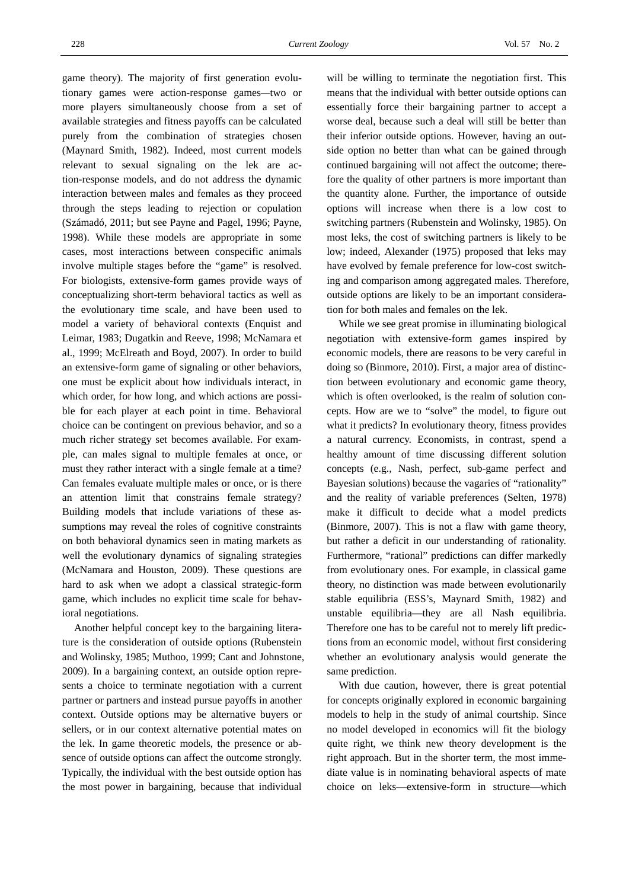game theory). The majority of first generation evolutionary games were action-response games*—*two or more players simultaneously choose from a set of available strategies and fitness payoffs can be calculated purely from the combination of strategies chosen (Maynard Smith, 1982). Indeed, most current models relevant to sexual signaling on the lek are action-response models, and do not address the dynamic interaction between males and females as they proceed through the steps leading to rejection or copulation (Számadó, 2011; but see Payne and Pagel, 1996; Payne, 1998). While these models are appropriate in some cases, most interactions between conspecific animals involve multiple stages before the "game" is resolved. For biologists, extensive-form games provide ways of conceptualizing short-term behavioral tactics as well as the evolutionary time scale, and have been used to model a variety of behavioral contexts (Enquist and Leimar, 1983; Dugatkin and Reeve, 1998; McNamara et al., 1999; McElreath and Boyd, 2007). In order to build an extensive-form game of signaling or other behaviors, one must be explicit about how individuals interact, in which order, for how long, and which actions are possible for each player at each point in time. Behavioral choice can be contingent on previous behavior, and so a much richer strategy set becomes available. For example, can males signal to multiple females at once, or must they rather interact with a single female at a time? Can females evaluate multiple males or once, or is there an attention limit that constrains female strategy? Building models that include variations of these assumptions may reveal the roles of cognitive constraints on both behavioral dynamics seen in mating markets as well the evolutionary dynamics of signaling strategies (McNamara and Houston, 2009). These questions are hard to ask when we adopt a classical strategic-form game, which includes no explicit time scale for behavioral negotiations.

Another helpful concept key to the bargaining literature is the consideration of outside options (Rubenstein and Wolinsky, 1985; Muthoo, 1999; Cant and Johnstone, 2009). In a bargaining context, an outside option represents a choice to terminate negotiation with a current partner or partners and instead pursue payoffs in another context. Outside options may be alternative buyers or sellers, or in our context alternative potential mates on the lek. In game theoretic models, the presence or absence of outside options can affect the outcome strongly. Typically, the individual with the best outside option has the most power in bargaining, because that individual

will be willing to terminate the negotiation first. This means that the individual with better outside options can essentially force their bargaining partner to accept a worse deal, because such a deal will still be better than their inferior outside options. However, having an outside option no better than what can be gained through continued bargaining will not affect the outcome; therefore the quality of other partners is more important than the quantity alone. Further, the importance of outside options will increase when there is a low cost to switching partners (Rubenstein and Wolinsky, 1985). On most leks, the cost of switching partners is likely to be low; indeed, Alexander (1975) proposed that leks may have evolved by female preference for low-cost switching and comparison among aggregated males. Therefore, outside options are likely to be an important consideration for both males and females on the lek.

While we see great promise in illuminating biological negotiation with extensive-form games inspired by economic models, there are reasons to be very careful in doing so (Binmore, 2010). First, a major area of distinction between evolutionary and economic game theory, which is often overlooked, is the realm of solution concepts. How are we to "solve" the model, to figure out what it predicts? In evolutionary theory, fitness provides a natural currency. Economists, in contrast, spend a healthy amount of time discussing different solution concepts (e.g., Nash, perfect, sub-game perfect and Bayesian solutions) because the vagaries of "rationality" and the reality of variable preferences (Selten, 1978) make it difficult to decide what a model predicts (Binmore, 2007). This is not a flaw with game theory, but rather a deficit in our understanding of rationality. Furthermore, "rational" predictions can differ markedly from evolutionary ones. For example, in classical game theory, no distinction was made between evolutionarily stable equilibria (ESS's, Maynard Smith, 1982) and unstable equilibria—they are all Nash equilibria. Therefore one has to be careful not to merely lift predictions from an economic model, without first considering whether an evolutionary analysis would generate the same prediction.

With due caution, however, there is great potential for concepts originally explored in economic bargaining models to help in the study of animal courtship. Since no model developed in economics will fit the biology quite right, we think new theory development is the right approach. But in the shorter term, the most immediate value is in nominating behavioral aspects of mate choice on leks—extensive-form in structure—which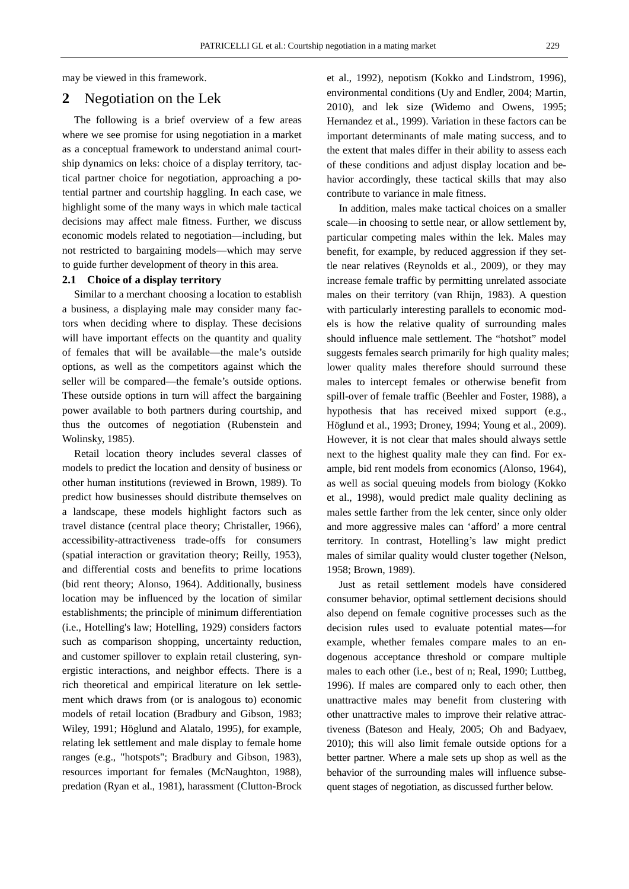may be viewed in this framework.

# **2** Negotiation on the Lek

The following is a brief overview of a few areas where we see promise for using negotiation in a market as a conceptual framework to understand animal courtship dynamics on leks: choice of a display territory, tactical partner choice for negotiation, approaching a potential partner and courtship haggling. In each case, we highlight some of the many ways in which male tactical decisions may affect male fitness. Further, we discuss economic models related to negotiation—including, but not restricted to bargaining models—which may serve to guide further development of theory in this area.

## **2.1 Choice of a display territory**

Similar to a merchant choosing a location to establish a business, a displaying male may consider many factors when deciding where to display. These decisions will have important effects on the quantity and quality of females that will be available—the male's outside options, as well as the competitors against which the seller will be compared—the female's outside options. These outside options in turn will affect the bargaining power available to both partners during courtship, and thus the outcomes of negotiation (Rubenstein and Wolinsky, 1985).

Retail location theory includes several classes of models to predict the location and density of business or other human institutions (reviewed in Brown, 1989). To predict how businesses should distribute themselves on a landscape, these models highlight factors such as travel distance (central place theory; Christaller, 1966), accessibility-attractiveness trade-offs for consumers (spatial interaction or gravitation theory; Reilly, 1953), and differential costs and benefits to prime locations (bid rent theory; Alonso, 1964). Additionally, business location may be influenced by the location of similar establishments; the principle of minimum differentiation (i.e., Hotelling's law; Hotelling, 1929) considers factors such as comparison shopping, uncertainty reduction, and customer spillover to explain retail clustering, synergistic interactions, and neighbor effects. There is a rich theoretical and empirical literature on lek settlement which draws from (or is analogous to) economic models of retail location (Bradbury and Gibson, 1983; Wiley, 1991; Höglund and Alatalo, 1995), for example, relating lek settlement and male display to female home ranges (e.g., "hotspots"; Bradbury and Gibson, 1983), resources important for females (McNaughton, 1988), predation (Ryan et al., 1981), harassment (Clutton-Brock

et al., 1992), nepotism (Kokko and Lindstrom, 1996), environmental conditions (Uy and Endler, 2004; Martin, 2010), and lek size (Widemo and Owens, 1995; Hernandez et al., 1999). Variation in these factors can be important determinants of male mating success, and to the extent that males differ in their ability to assess each of these conditions and adjust display location and behavior accordingly, these tactical skills that may also contribute to variance in male fitness.

In addition, males make tactical choices on a smaller scale—in choosing to settle near, or allow settlement by, particular competing males within the lek. Males may benefit, for example, by reduced aggression if they settle near relatives (Reynolds et al., 2009), or they may increase female traffic by permitting unrelated associate males on their territory (van Rhijn, 1983). A question with particularly interesting parallels to economic models is how the relative quality of surrounding males should influence male settlement. The "hotshot" model suggests females search primarily for high quality males; lower quality males therefore should surround these males to intercept females or otherwise benefit from spill-over of female traffic (Beehler and Foster, 1988), a hypothesis that has received mixed support (e.g., Höglund et al., 1993; Droney, 1994; Young et al., 2009). However, it is not clear that males should always settle next to the highest quality male they can find. For example, bid rent models from economics (Alonso, 1964), as well as social queuing models from biology (Kokko et al., 1998), would predict male quality declining as males settle farther from the lek center, since only older and more aggressive males can 'afford' a more central territory. In contrast, Hotelling's law might predict males of similar quality would cluster together (Nelson, 1958; Brown, 1989).

Just as retail settlement models have considered consumer behavior, optimal settlement decisions should also depend on female cognitive processes such as the decision rules used to evaluate potential mates—for example, whether females compare males to an endogenous acceptance threshold or compare multiple males to each other (i.e., best of n; Real, 1990; Luttbeg, 1996). If males are compared only to each other, then unattractive males may benefit from clustering with other unattractive males to improve their relative attractiveness (Bateson and Healy, 2005; Oh and Badyaev, 2010); this will also limit female outside options for a better partner. Where a male sets up shop as well as the behavior of the surrounding males will influence subsequent stages of negotiation, as discussed further below.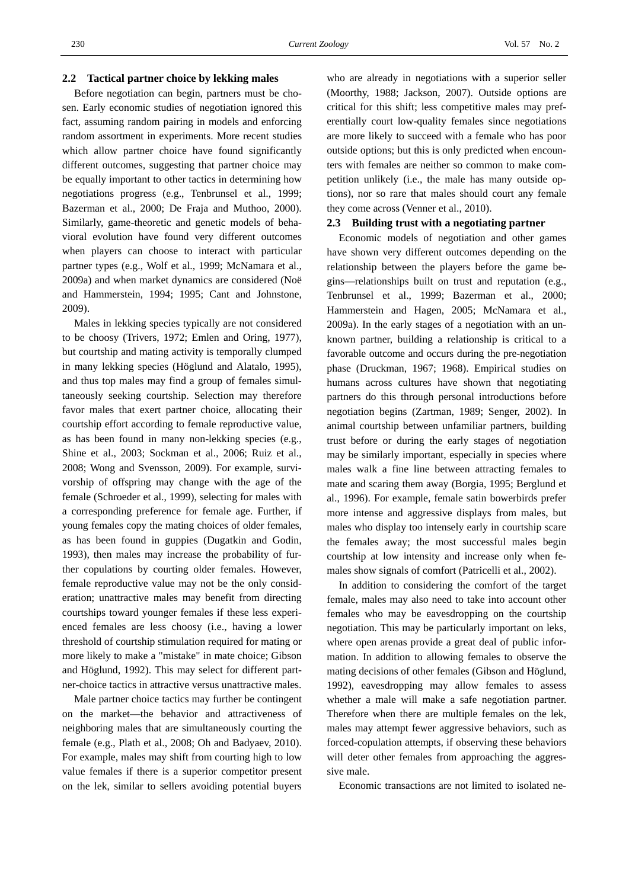#### **2.2 Tactical partner choice by lekking males**

Before negotiation can begin, partners must be chosen. Early economic studies of negotiation ignored this fact, assuming random pairing in models and enforcing random assortment in experiments. More recent studies which allow partner choice have found significantly different outcomes, suggesting that partner choice may be equally important to other tactics in determining how negotiations progress (e.g., Tenbrunsel et al., 1999; Bazerman et al., 2000; De Fraja and Muthoo, 2000). Similarly, game-theoretic and genetic models of behavioral evolution have found very different outcomes when players can choose to interact with particular partner types (e.g., Wolf et al., 1999; McNamara et al., 2009a) and when market dynamics are considered (Noë and Hammerstein, 1994; 1995; Cant and Johnstone, 2009).

Males in lekking species typically are not considered to be choosy (Trivers, 1972; Emlen and Oring, 1977), but courtship and mating activity is temporally clumped in many lekking species (Höglund and Alatalo, 1995), and thus top males may find a group of females simultaneously seeking courtship. Selection may therefore favor males that exert partner choice, allocating their courtship effort according to female reproductive value, as has been found in many non-lekking species (e.g., Shine et al., 2003; Sockman et al., 2006; Ruiz et al., 2008; Wong and Svensson, 2009). For example, survivorship of offspring may change with the age of the female (Schroeder et al., 1999), selecting for males with a corresponding preference for female age. Further, if young females copy the mating choices of older females, as has been found in guppies (Dugatkin and Godin, 1993), then males may increase the probability of further copulations by courting older females. However, female reproductive value may not be the only consideration; unattractive males may benefit from directing courtships toward younger females if these less experienced females are less choosy (i.e., having a lower threshold of courtship stimulation required for mating or more likely to make a "mistake" in mate choice; Gibson and Höglund, 1992). This may select for different partner-choice tactics in attractive versus unattractive males.

Male partner choice tactics may further be contingent on the market—the behavior and attractiveness of neighboring males that are simultaneously courting the female (e.g., Plath et al., 2008; Oh and Badyaev, 2010). For example, males may shift from courting high to low value females if there is a superior competitor present on the lek, similar to sellers avoiding potential buyers

who are already in negotiations with a superior seller (Moorthy, 1988; Jackson, 2007). Outside options are critical for this shift; less competitive males may preferentially court low-quality females since negotiations are more likely to succeed with a female who has poor outside options; but this is only predicted when encounters with females are neither so common to make competition unlikely (i.e., the male has many outside options), nor so rare that males should court any female they come across (Venner et al., 2010).

### **2.3 Building trust with a negotiating partner**

Economic models of negotiation and other games have shown very different outcomes depending on the relationship between the players before the game begins—relationships built on trust and reputation (e.g., Tenbrunsel et al., 1999; Bazerman et al., 2000; Hammerstein and Hagen, 2005; McNamara et al., 2009a). In the early stages of a negotiation with an unknown partner, building a relationship is critical to a favorable outcome and occurs during the pre-negotiation phase (Druckman, 1967; 1968). Empirical studies on humans across cultures have shown that negotiating partners do this through personal introductions before negotiation begins (Zartman, 1989; Senger, 2002). In animal courtship between unfamiliar partners, building trust before or during the early stages of negotiation may be similarly important, especially in species where males walk a fine line between attracting females to mate and scaring them away (Borgia, 1995; Berglund et al., 1996). For example, female satin bowerbirds prefer more intense and aggressive displays from males, but males who display too intensely early in courtship scare the females away; the most successful males begin courtship at low intensity and increase only when females show signals of comfort (Patricelli et al., 2002).

In addition to considering the comfort of the target female, males may also need to take into account other females who may be eavesdropping on the courtship negotiation. This may be particularly important on leks, where open arenas provide a great deal of public information. In addition to allowing females to observe the mating decisions of other females (Gibson and Höglund, 1992), eavesdropping may allow females to assess whether a male will make a safe negotiation partner. Therefore when there are multiple females on the lek, males may attempt fewer aggressive behaviors, such as forced-copulation attempts, if observing these behaviors will deter other females from approaching the aggressive male.

Economic transactions are not limited to isolated ne-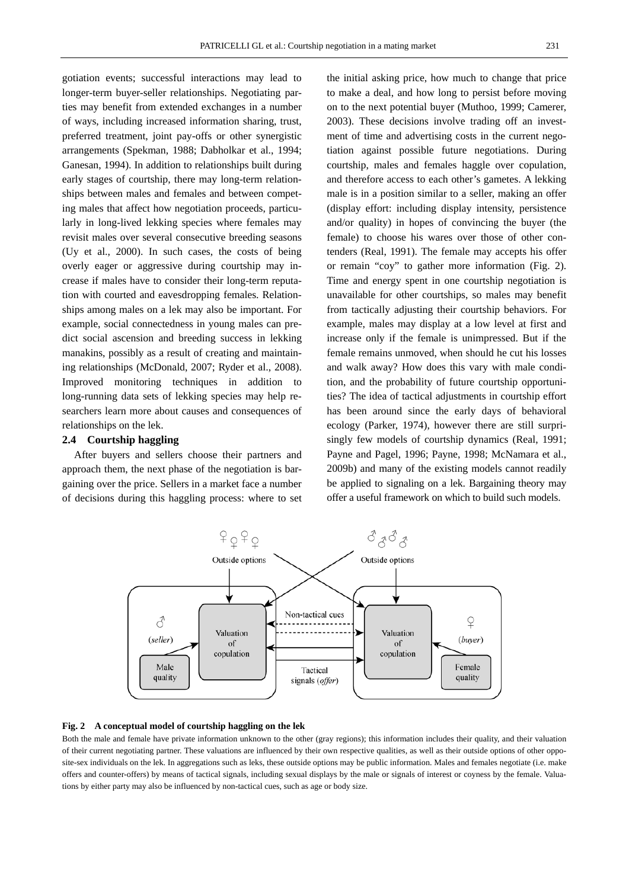gotiation events; successful interactions may lead to longer-term buyer-seller relationships. Negotiating parties may benefit from extended exchanges in a number of ways, including increased information sharing, trust, preferred treatment, joint pay-offs or other synergistic arrangements (Spekman, 1988; Dabholkar et al., 1994; Ganesan, 1994). In addition to relationships built during early stages of courtship, there may long-term relationships between males and females and between competing males that affect how negotiation proceeds, particularly in long-lived lekking species where females may revisit males over several consecutive breeding seasons (Uy et al., 2000). In such cases, the costs of being overly eager or aggressive during courtship may increase if males have to consider their long-term reputation with courted and eavesdropping females. Relationships among males on a lek may also be important. For example, social connectedness in young males can predict social ascension and breeding success in lekking manakins, possibly as a result of creating and maintaining relationships (McDonald, 2007; Ryder et al., 2008). Improved monitoring techniques in addition to long-running data sets of lekking species may help researchers learn more about causes and consequences of relationships on the lek.

# **2.4 Courtship haggling**

After buyers and sellers choose their partners and approach them, the next phase of the negotiation is bargaining over the price. Sellers in a market face a number of decisions during this haggling process: where to set the initial asking price, how much to change that price to make a deal, and how long to persist before moving on to the next potential buyer (Muthoo, 1999; Camerer, 2003). These decisions involve trading off an investment of time and advertising costs in the current negotiation against possible future negotiations. During courtship, males and females haggle over copulation, and therefore access to each other's gametes. A lekking male is in a position similar to a seller, making an offer (display effort: including display intensity, persistence and/or quality) in hopes of convincing the buyer (the female) to choose his wares over those of other contenders (Real, 1991). The female may accepts his offer or remain "coy" to gather more information (Fig. 2). Time and energy spent in one courtship negotiation is unavailable for other courtships, so males may benefit from tactically adjusting their courtship behaviors. For example, males may display at a low level at first and increase only if the female is unimpressed. But if the female remains unmoved, when should he cut his losses and walk away? How does this vary with male condition, and the probability of future courtship opportunities? The idea of tactical adjustments in courtship effort has been around since the early days of behavioral ecology (Parker, 1974), however there are still surprisingly few models of courtship dynamics (Real, 1991; Payne and Pagel, 1996; Payne, 1998; McNamara et al., 2009b) and many of the existing models cannot readily be applied to signaling on a lek. Bargaining theory may offer a useful framework on which to build such models.



#### **Fig. 2 A conceptual model of courtship haggling on the lek**

Both the male and female have private information unknown to the other (gray regions); this information includes their quality, and their valuation of their current negotiating partner. These valuations are influenced by their own respective qualities, as well as their outside options of other opposite-sex individuals on the lek. In aggregations such as leks, these outside options may be public information. Males and females negotiate (i.e. make offers and counter-offers) by means of tactical signals, including sexual displays by the male or signals of interest or coyness by the female. Valuations by either party may also be influenced by non-tactical cues, such as age or body size.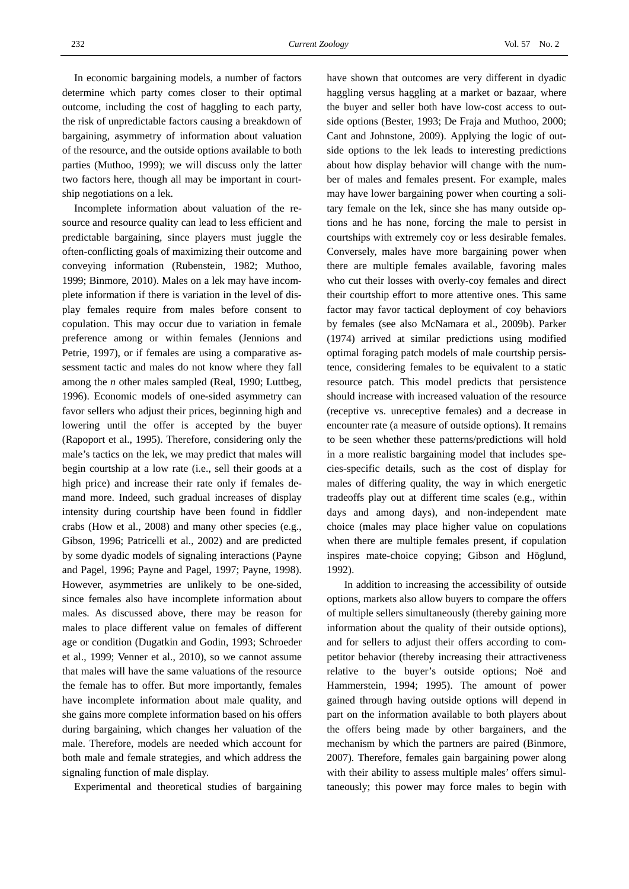In economic bargaining models, a number of factors determine which party comes closer to their optimal outcome, including the cost of haggling to each party, the risk of unpredictable factors causing a breakdown of bargaining, asymmetry of information about valuation of the resource, and the outside options available to both parties (Muthoo, 1999); we will discuss only the latter two factors here, though all may be important in courtship negotiations on a lek.

Incomplete information about valuation of the resource and resource quality can lead to less efficient and predictable bargaining, since players must juggle the often-conflicting goals of maximizing their outcome and conveying information (Rubenstein, 1982; Muthoo, 1999; Binmore, 2010). Males on a lek may have incomplete information if there is variation in the level of display females require from males before consent to copulation. This may occur due to variation in female preference among or within females (Jennions and Petrie, 1997), or if females are using a comparative assessment tactic and males do not know where they fall among the *n* other males sampled (Real, 1990; Luttbeg, 1996). Economic models of one-sided asymmetry can favor sellers who adjust their prices, beginning high and lowering until the offer is accepted by the buyer (Rapoport et al., 1995). Therefore, considering only the male's tactics on the lek, we may predict that males will begin courtship at a low rate (i.e., sell their goods at a high price) and increase their rate only if females demand more. Indeed, such gradual increases of display intensity during courtship have been found in fiddler crabs (How et al., 2008) and many other species (e.g., Gibson, 1996; Patricelli et al., 2002) and are predicted by some dyadic models of signaling interactions (Payne and Pagel, 1996; Payne and Pagel, 1997; Payne, 1998). However, asymmetries are unlikely to be one-sided, since females also have incomplete information about males. As discussed above, there may be reason for males to place different value on females of different age or condition (Dugatkin and Godin, 1993; Schroeder et al., 1999; Venner et al., 2010), so we cannot assume that males will have the same valuations of the resource the female has to offer. But more importantly, females have incomplete information about male quality, and she gains more complete information based on his offers during bargaining, which changes her valuation of the male. Therefore, models are needed which account for both male and female strategies, and which address the signaling function of male display.

Experimental and theoretical studies of bargaining

have shown that outcomes are very different in dyadic haggling versus haggling at a market or bazaar, where the buyer and seller both have low-cost access to outside options (Bester, 1993; De Fraja and Muthoo, 2000; Cant and Johnstone, 2009). Applying the logic of outside options to the lek leads to interesting predictions about how display behavior will change with the number of males and females present. For example, males may have lower bargaining power when courting a solitary female on the lek, since she has many outside options and he has none, forcing the male to persist in courtships with extremely coy or less desirable females. Conversely, males have more bargaining power when there are multiple females available, favoring males who cut their losses with overly-coy females and direct their courtship effort to more attentive ones. This same factor may favor tactical deployment of coy behaviors by females (see also McNamara et al., 2009b). Parker (1974) arrived at similar predictions using modified optimal foraging patch models of male courtship persistence, considering females to be equivalent to a static resource patch. This model predicts that persistence should increase with increased valuation of the resource (receptive vs. unreceptive females) and a decrease in encounter rate (a measure of outside options). It remains to be seen whether these patterns/predictions will hold in a more realistic bargaining model that includes species-specific details, such as the cost of display for males of differing quality, the way in which energetic tradeoffs play out at different time scales (e.g., within days and among days), and non-independent mate choice (males may place higher value on copulations when there are multiple females present, if copulation inspires mate-choice copying; Gibson and Höglund, 1992).

 In addition to increasing the accessibility of outside options, markets also allow buyers to compare the offers of multiple sellers simultaneously (thereby gaining more information about the quality of their outside options), and for sellers to adjust their offers according to competitor behavior (thereby increasing their attractiveness relative to the buyer's outside options; Noë and Hammerstein, 1994; 1995). The amount of power gained through having outside options will depend in part on the information available to both players about the offers being made by other bargainers, and the mechanism by which the partners are paired (Binmore, 2007). Therefore, females gain bargaining power along with their ability to assess multiple males' offers simultaneously; this power may force males to begin with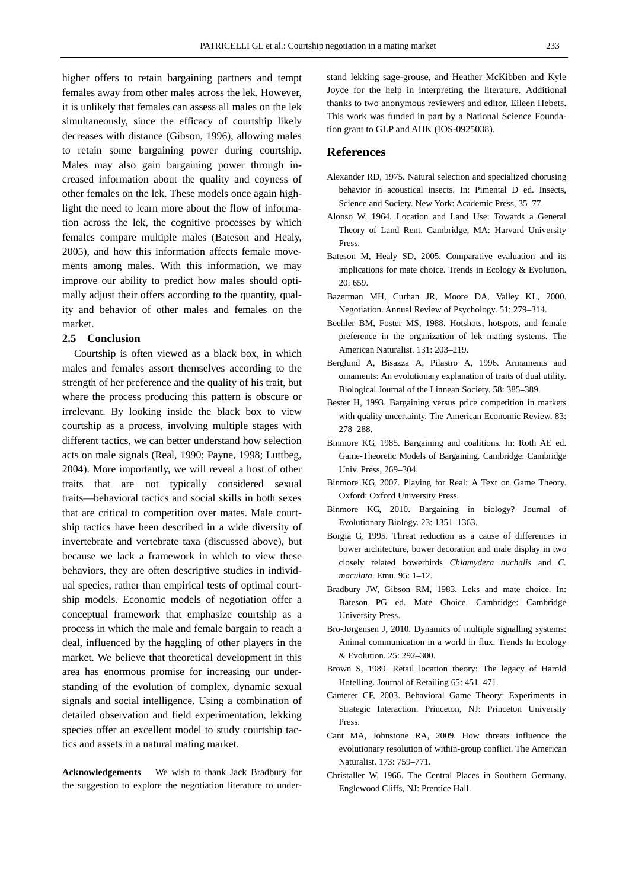higher offers to retain bargaining partners and tempt females away from other males across the lek. However, it is unlikely that females can assess all males on the lek simultaneously, since the efficacy of courtship likely decreases with distance (Gibson, 1996), allowing males to retain some bargaining power during courtship. Males may also gain bargaining power through increased information about the quality and coyness of other females on the lek. These models once again highlight the need to learn more about the flow of information across the lek, the cognitive processes by which females compare multiple males (Bateson and Healy, 2005), and how this information affects female movements among males. With this information, we may improve our ability to predict how males should optimally adjust their offers according to the quantity, quality and behavior of other males and females on the market.

### **2.5 Conclusion**

Courtship is often viewed as a black box, in which males and females assort themselves according to the strength of her preference and the quality of his trait, but where the process producing this pattern is obscure or irrelevant. By looking inside the black box to view courtship as a process, involving multiple stages with different tactics, we can better understand how selection acts on male signals (Real, 1990; Payne, 1998; Luttbeg, 2004). More importantly, we will reveal a host of other traits that are not typically considered sexual traits—behavioral tactics and social skills in both sexes that are critical to competition over mates. Male courtship tactics have been described in a wide diversity of invertebrate and vertebrate taxa (discussed above), but because we lack a framework in which to view these behaviors, they are often descriptive studies in individual species, rather than empirical tests of optimal courtship models. Economic models of negotiation offer a conceptual framework that emphasize courtship as a process in which the male and female bargain to reach a deal, influenced by the haggling of other players in the market. We believe that theoretical development in this area has enormous promise for increasing our understanding of the evolution of complex, dynamic sexual signals and social intelligence. Using a combination of detailed observation and field experimentation, lekking species offer an excellent model to study courtship tactics and assets in a natural mating market.

**Acknowledgements** We wish to thank Jack Bradbury for the suggestion to explore the negotiation literature to understand lekking sage-grouse, and Heather McKibben and Kyle Joyce for the help in interpreting the literature. Additional thanks to two anonymous reviewers and editor, Eileen Hebets. This work was funded in part by a National Science Foundation grant to GLP and AHK (IOS-0925038).

# **References**

- Alexander RD, 1975. Natural selection and specialized chorusing behavior in acoustical insects. In: Pimental D ed. Insects, Science and Society. New York: Academic Press, 35–77.
- Alonso W, 1964. Location and Land Use: Towards a General Theory of Land Rent. Cambridge, MA: Harvard University Press.
- Bateson M, Healy SD, 2005. Comparative evaluation and its implications for mate choice. Trends in Ecology & Evolution. 20: 659.
- Bazerman MH, Curhan JR, Moore DA, Valley KL, 2000. Negotiation. Annual Review of Psychology. 51: 279–314.
- Beehler BM, Foster MS, 1988. Hotshots, hotspots, and female preference in the organization of lek mating systems. The American Naturalist. 131: 203–219.
- Berglund A, Bisazza A, Pilastro A, 1996. Armaments and ornaments: An evolutionary explanation of traits of dual utility. Biological Journal of the Linnean Society. 58: 385–389.
- Bester H, 1993. Bargaining versus price competition in markets with quality uncertainty. The American Economic Review. 83: 278–288.
- Binmore KG, 1985. Bargaining and coalitions. In: Roth AE ed. Game-Theoretic Models of Bargaining. Cambridge: Cambridge Univ. Press, 269–304.
- Binmore KG, 2007. Playing for Real: A Text on Game Theory. Oxford: Oxford University Press.
- Binmore KG, 2010. Bargaining in biology? Journal of Evolutionary Biology. 23: 1351–1363.
- Borgia G, 1995. Threat reduction as a cause of differences in bower architecture, bower decoration and male display in two closely related bowerbirds *Chlamydera nuchalis* and *C. maculata*. Emu. 95: 1–12.
- Bradbury JW, Gibson RM, 1983. Leks and mate choice. In: Bateson PG ed. Mate Choice. Cambridge: Cambridge University Press.
- Bro-Jørgensen J, 2010. Dynamics of multiple signalling systems: Animal communication in a world in flux. Trends In Ecology & Evolution. 25: 292–300.
- Brown S, 1989. Retail location theory: The legacy of Harold Hotelling. Journal of Retailing 65: 451–471.
- Camerer CF, 2003. Behavioral Game Theory: Experiments in Strategic Interaction. Princeton, NJ: Princeton University Press.
- Cant MA, Johnstone RA, 2009. How threats influence the evolutionary resolution of within-group conflict. The American Naturalist. 173: 759–771.
- Christaller W, 1966. The Central Places in Southern Germany. Englewood Cliffs, NJ: Prentice Hall.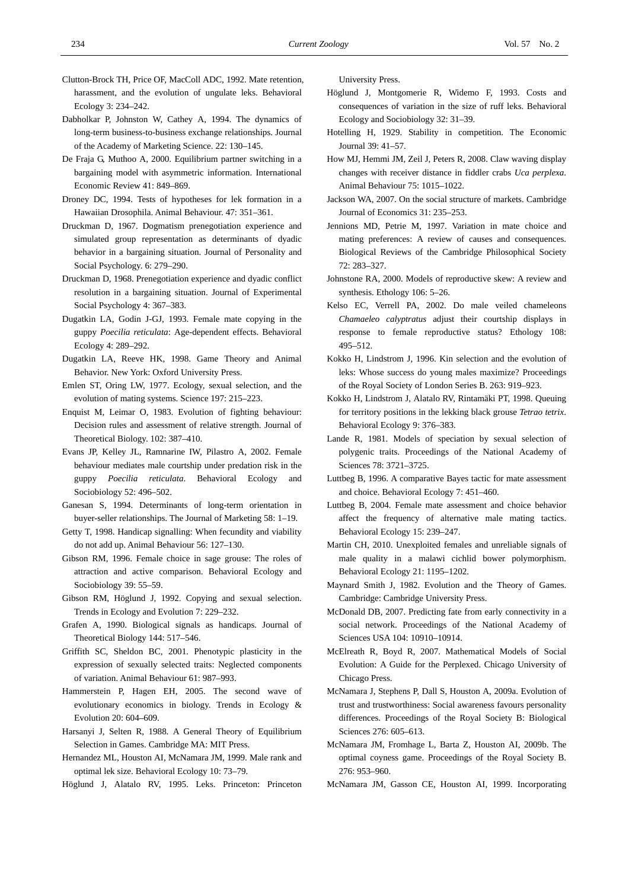- Clutton-Brock TH, Price OF, MacColl ADC, 1992. Mate retention, harassment, and the evolution of ungulate leks. Behavioral Ecology 3: 234–242.
- Dabholkar P, Johnston W, Cathey A, 1994. The dynamics of long-term business-to-business exchange relationships. Journal of the Academy of Marketing Science. 22: 130–145.
- De Fraja G, Muthoo A, 2000. Equilibrium partner switching in a bargaining model with asymmetric information. International Economic Review 41: 849–869.
- Droney DC, 1994. Tests of hypotheses for lek formation in a Hawaiian Drosophila. Animal Behaviour. 47: 351–361.
- Druckman D, 1967. Dogmatism prenegotiation experience and simulated group representation as determinants of dyadic behavior in a bargaining situation. Journal of Personality and Social Psychology. 6: 279–290.
- Druckman D, 1968. Prenegotiation experience and dyadic conflict resolution in a bargaining situation. Journal of Experimental Social Psychology 4: 367–383.
- Dugatkin LA, Godin J-GJ, 1993. Female mate copying in the guppy *Poecilia reticulata*: Age-dependent effects. Behavioral Ecology 4: 289–292.
- Dugatkin LA, Reeve HK, 1998. Game Theory and Animal Behavior. New York: Oxford University Press.
- Emlen ST, Oring LW, 1977. Ecology, sexual selection, and the evolution of mating systems. Science 197: 215–223.
- Enquist M, Leimar O, 1983. Evolution of fighting behaviour: Decision rules and assessment of relative strength. Journal of Theoretical Biology. 102: 387–410.
- Evans JP, Kelley JL, Ramnarine IW, Pilastro A, 2002. Female behaviour mediates male courtship under predation risk in the guppy *Poecilia reticulata*. Behavioral Ecology and Sociobiology 52: 496–502.
- Ganesan S, 1994. Determinants of long-term orientation in buyer-seller relationships. The Journal of Marketing 58: 1–19.
- Getty T, 1998. Handicap signalling: When fecundity and viability do not add up. Animal Behaviour 56: 127–130.
- Gibson RM, 1996. Female choice in sage grouse: The roles of attraction and active comparison. Behavioral Ecology and Sociobiology 39: 55–59.
- Gibson RM, Höglund J, 1992. Copying and sexual selection. Trends in Ecology and Evolution 7: 229–232.
- Grafen A, 1990. Biological signals as handicaps. Journal of Theoretical Biology 144: 517–546.
- Griffith SC, Sheldon BC, 2001. Phenotypic plasticity in the expression of sexually selected traits: Neglected components of variation. Animal Behaviour 61: 987–993.
- Hammerstein P, Hagen EH, 2005. The second wave of evolutionary economics in biology. Trends in Ecology & Evolution 20: 604–609.
- Harsanyi J, Selten R, 1988. A General Theory of Equilibrium Selection in Games. Cambridge MA: MIT Press.
- Hernandez ML, Houston AI, McNamara JM, 1999. Male rank and optimal lek size. Behavioral Ecology 10: 73–79.
- Höglund J, Alatalo RV, 1995. Leks. Princeton: Princeton

University Press.

- Höglund J, Montgomerie R, Widemo F, 1993. Costs and consequences of variation in the size of ruff leks. Behavioral Ecology and Sociobiology 32: 31–39.
- Hotelling H, 1929. Stability in competition. The Economic Journal 39: 41–57.
- How MJ, Hemmi JM, Zeil J, Peters R, 2008. Claw waving display changes with receiver distance in fiddler crabs *Uca perplexa*. Animal Behaviour 75: 1015–1022.
- Jackson WA, 2007. On the social structure of markets. Cambridge Journal of Economics 31: 235–253.
- Jennions MD, Petrie M, 1997. Variation in mate choice and mating preferences: A review of causes and consequences. Biological Reviews of the Cambridge Philosophical Society 72: 283–327.
- Johnstone RA, 2000. Models of reproductive skew: A review and synthesis. Ethology 106: 5–26.
- Kelso EC, Verrell PA, 2002. Do male veiled chameleons *Chamaeleo calyptratus* adjust their courtship displays in response to female reproductive status? Ethology 108: 495–512.
- Kokko H, Lindstrom J, 1996. Kin selection and the evolution of leks: Whose success do young males maximize? Proceedings of the Royal Society of London Series B. 263: 919–923.
- Kokko H, Lindstrom J, Alatalo RV, Rintamäki PT, 1998. Queuing for territory positions in the lekking black grouse *Tetrao tetrix*. Behavioral Ecology 9: 376–383.
- Lande R, 1981. Models of speciation by sexual selection of polygenic traits. Proceedings of the National Academy of Sciences 78: 3721–3725.
- Luttbeg B, 1996. A comparative Bayes tactic for mate assessment and choice. Behavioral Ecology 7: 451–460.
- Luttbeg B, 2004. Female mate assessment and choice behavior affect the frequency of alternative male mating tactics. Behavioral Ecology 15: 239–247.
- Martin CH, 2010. Unexploited females and unreliable signals of male quality in a malawi cichlid bower polymorphism. Behavioral Ecology 21: 1195–1202.
- Maynard Smith J, 1982. Evolution and the Theory of Games. Cambridge: Cambridge University Press.
- McDonald DB, 2007. Predicting fate from early connectivity in a social network. Proceedings of the National Academy of Sciences USA 104: 10910–10914.
- McElreath R, Boyd R, 2007. Mathematical Models of Social Evolution: A Guide for the Perplexed. Chicago University of Chicago Press.
- McNamara J, Stephens P, Dall S, Houston A, 2009a. Evolution of trust and trustworthiness: Social awareness favours personality differences. Proceedings of the Royal Society B: Biological Sciences 276: 605–613.
- McNamara JM, Fromhage L, Barta Z, Houston AI, 2009b. The optimal coyness game. Proceedings of the Royal Society B. 276: 953–960.
- McNamara JM, Gasson CE, Houston AI, 1999. Incorporating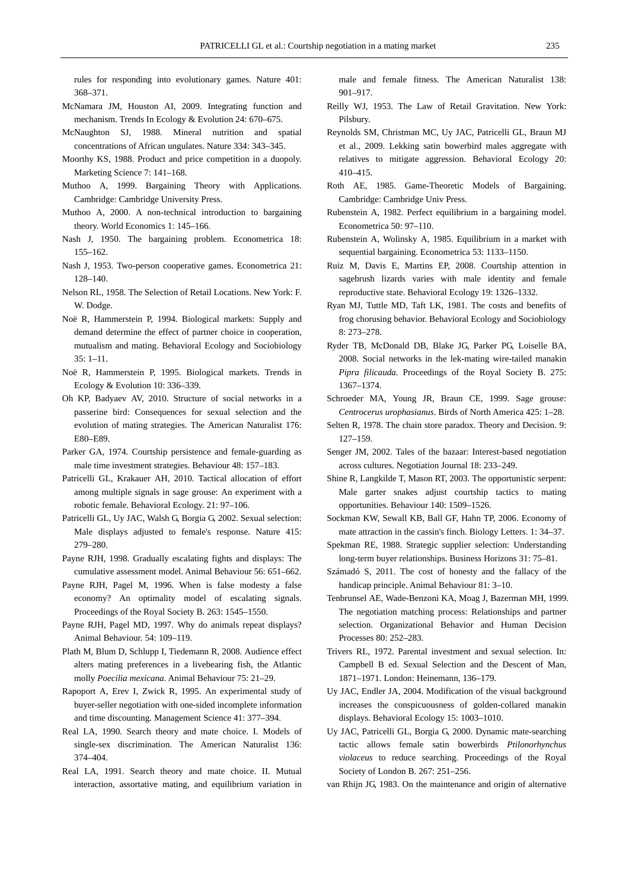rules for responding into evolutionary games. Nature 401: 368–371.

- McNamara JM, Houston AI, 2009. Integrating function and mechanism. Trends In Ecology & Evolution 24: 670–675.
- McNaughton SJ, 1988. Mineral nutrition and spatial concentrations of African ungulates. Nature 334: 343–345.
- Moorthy KS, 1988. Product and price competition in a duopoly. Marketing Science 7: 141–168.
- Muthoo A, 1999. Bargaining Theory with Applications. Cambridge: Cambridge University Press.
- Muthoo A, 2000. A non-technical introduction to bargaining theory. World Economics 1: 145–166.
- Nash J, 1950. The bargaining problem. Econometrica 18: 155–162.
- Nash J, 1953. Two-person cooperative games. Econometrica 21: 128–140.
- Nelson RL, 1958. The Selection of Retail Locations. New York: F. W. Dodge.
- Noë R, Hammerstein P, 1994. Biological markets: Supply and demand determine the effect of partner choice in cooperation, mutualism and mating. Behavioral Ecology and Sociobiology 35: 1–11.
- Noë R, Hammerstein P, 1995. Biological markets. Trends in Ecology & Evolution 10: 336–339.
- Oh KP, Badyaev AV, 2010. Structure of social networks in a passerine bird: Consequences for sexual selection and the evolution of mating strategies. The American Naturalist 176: E80–E89.
- Parker GA, 1974. Courtship persistence and female-guarding as male time investment strategies. Behaviour 48: 157–183.
- Patricelli GL, Krakauer AH, 2010. Tactical allocation of effort among multiple signals in sage grouse: An experiment with a robotic female. Behavioral Ecology. 21: 97–106.
- Patricelli GL, Uy JAC, Walsh G, Borgia G, 2002. Sexual selection: Male displays adjusted to female's response. Nature 415: 279–280.
- Payne RJH, 1998. Gradually escalating fights and displays: The cumulative assessment model. Animal Behaviour 56: 651–662.
- Payne RJH, Pagel M, 1996. When is false modesty a false economy? An optimality model of escalating signals. Proceedings of the Royal Society B. 263: 1545–1550.
- Payne RJH, Pagel MD, 1997. Why do animals repeat displays? Animal Behaviour. 54: 109–119.
- Plath M, Blum D, Schlupp I, Tiedemann R, 2008. Audience effect alters mating preferences in a livebearing fish, the Atlantic molly *Poecilia mexicana*. Animal Behaviour 75: 21–29.
- Rapoport A, Erev I, Zwick R, 1995. An experimental study of buyer-seller negotiation with one-sided incomplete information and time discounting. Management Science 41: 377–394.
- Real LA, 1990. Search theory and mate choice. I. Models of single-sex discrimination. The American Naturalist 136: 374–404.
- Real LA, 1991. Search theory and mate choice. II. Mutual interaction, assortative mating, and equilibrium variation in

male and female fitness. The American Naturalist 138: 901–917.

- Reilly WJ, 1953. The Law of Retail Gravitation. New York: Pilsbury.
- Reynolds SM, Christman MC, Uy JAC, Patricelli GL, Braun MJ et al., 2009. Lekking satin bowerbird males aggregate with relatives to mitigate aggression. Behavioral Ecology 20: 410–415.
- Roth AE, 1985. Game-Theoretic Models of Bargaining. Cambridge: Cambridge Univ Press.
- Rubenstein A, 1982. Perfect equilibrium in a bargaining model. Econometrica 50: 97–110.
- Rubenstein A, Wolinsky A, 1985. Equilibrium in a market with sequential bargaining. Econometrica 53: 1133–1150.
- Ruiz M, Davis E, Martins EP, 2008. Courtship attention in sagebrush lizards varies with male identity and female reproductive state. Behavioral Ecology 19: 1326–1332.
- Ryan MJ, Tuttle MD, Taft LK, 1981. The costs and benefits of frog chorusing behavior. Behavioral Ecology and Sociobiology 8: 273–278.
- Ryder TB, McDonald DB, Blake JG, Parker PG, Loiselle BA, 2008. Social networks in the lek-mating wire-tailed manakin *Pipra filicauda*. Proceedings of the Royal Society B. 275: 1367–1374.
- Schroeder MA, Young JR, Braun CE, 1999. Sage grouse: *Centrocerus urophasianus*. Birds of North America 425: 1–28.
- Selten R, 1978. The chain store paradox. Theory and Decision. 9: 127–159.
- Senger JM, 2002. Tales of the bazaar: Interest-based negotiation across cultures. Negotiation Journal 18: 233–249.
- Shine R, Langkilde T, Mason RT, 2003. The opportunistic serpent: Male garter snakes adjust courtship tactics to mating opportunities. Behaviour 140: 1509–1526.
- Sockman KW, Sewall KB, Ball GF, Hahn TP, 2006. Economy of mate attraction in the cassin's finch. Biology Letters. 1: 34–37.
- Spekman RE, 1988. Strategic supplier selection: Understanding long-term buyer relationships. Business Horizons 31: 75–81.
- Számadó S, 2011. The cost of honesty and the fallacy of the handicap principle. Animal Behaviour 81: 3–10.
- Tenbrunsel AE, Wade-Benzoni KA, Moag J, Bazerman MH, 1999. The negotiation matching process: Relationships and partner selection. Organizational Behavior and Human Decision Processes 80: 252–283.
- Trivers RL, 1972. Parental investment and sexual selection. In: Campbell B ed. Sexual Selection and the Descent of Man, 1871–1971. London: Heinemann, 136–179.
- Uy JAC, Endler JA, 2004. Modification of the visual background increases the conspicuousness of golden-collared manakin displays. Behavioral Ecology 15: 1003–1010.
- Uy JAC, Patricelli GL, Borgia G, 2000. Dynamic mate-searching tactic allows female satin bowerbirds *Ptilonorhynchus violaceus* to reduce searching. Proceedings of the Royal Society of London B. 267: 251–256.
- van Rhijn JG, 1983. On the maintenance and origin of alternative